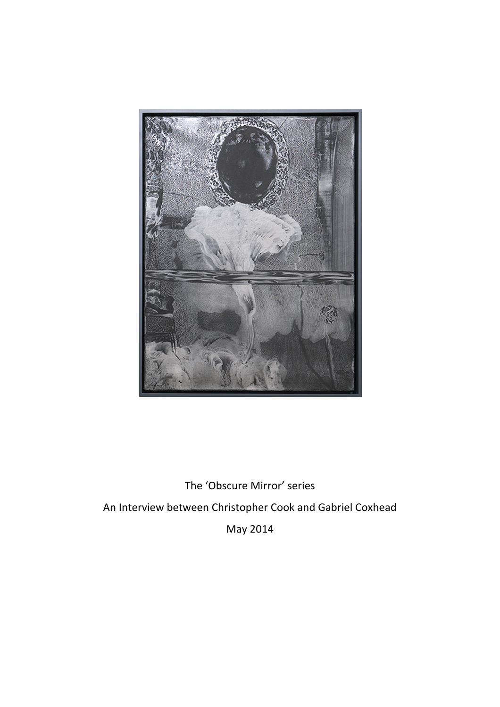

The 'Obscure Mirror' series An Interview between Christopher Cook and Gabriel Coxhead May!2014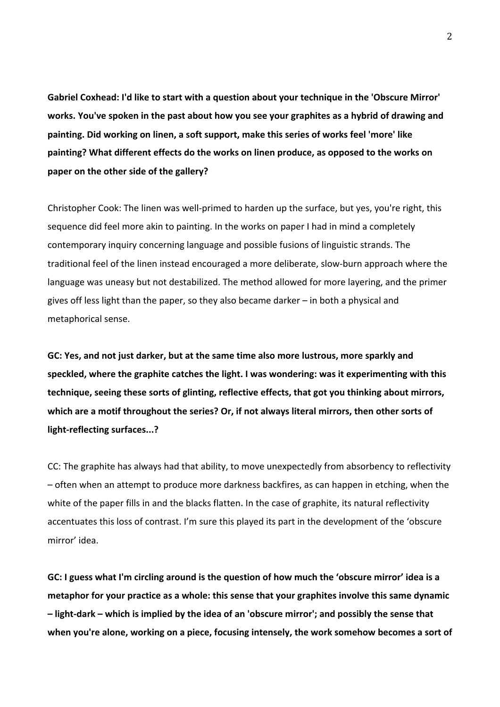Gabriel Coxhead: I'd like to start with a question about your technique in the 'Obscure Mirror' works. You've spoken in the past about how you see your graphites as a hybrid of drawing and painting. Did working on linen, a soft support, make this series of works feel 'more' like painting? What different effects do the works on linen produce, as opposed to the works on paper on the other side of the gallery?

Christopher Cook: The linen was well-primed to harden up the surface, but yes, you're right, this sequence did feel more akin to painting. In the works on paper I had in mind a completely contemporary inquiry concerning language and possible fusions of linguistic strands. The traditional feel of the linen instead encouraged a more deliberate, slow-burn approach where the language was uneasy but not destabilized. The method allowed for more layering, and the primer gives off less light than the paper, so they also became darker – in both a physical and metaphorical sense.

GC: Yes, and not just darker, but at the same time also more lustrous, more sparkly and speckled, where the graphite catches the light. I was wondering: was it experimenting with this technique, seeing these sorts of glinting, reflective effects, that got you thinking about mirrors, which are a motif throughout the series? Or, if not always literal mirrors, then other sorts of light-reflecting surfaces...?

CC: The graphite has always had that ability, to move unexpectedly from absorbency to reflectivity – often when an attempt to produce more darkness backfires, as can happen in etching, when the white of the paper fills in and the blacks flatten. In the case of graphite, its natural reflectivity accentuates this loss of contrast. I'm sure this played its part in the development of the 'obscure mirror' idea.

GC: I guess what I'm circling around is the question of how much the 'obscure mirror' idea is a metaphor for your practice as a whole: this sense that your graphites involve this same dynamic  $-$  light-dark – which is implied by the idea of an 'obscure mirror'; and possibly the sense that when you're alone, working on a piece, focusing intensely, the work somehow becomes a sort of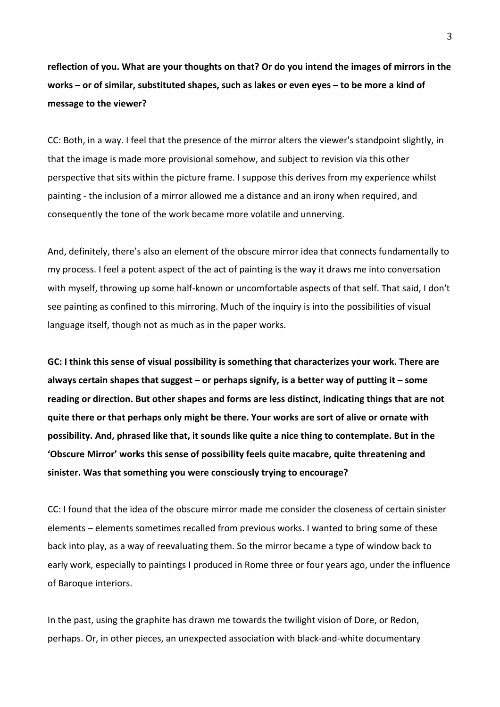reflection of you. What are your thoughts on that? Or do you intend the images of mirrors in the **works** – or of similar, substituted shapes, such as lakes or even eyes – to be more a kind of message to the viewer?

CC: Both, in a way. I feel that the presence of the mirror alters the viewer's standpoint slightly, in that the image is made more provisional somehow, and subject to revision via this other perspective that sits within the picture frame. I suppose this derives from my experience whilst painting - the inclusion of a mirror allowed me a distance and an irony when required, and consequently the tone of the work became more volatile and unnerving.

And, definitely, there's also an element of the obscure mirror idea that connects fundamentally to my process. I feel a potent aspect of the act of painting is the way it draws me into conversation with myself, throwing up some half-known or uncomfortable aspects of that self. That said, I don't see painting as confined to this mirroring. Much of the inquiry is into the possibilities of visual language itself, though not as much as in the paper works.

GC: I think this sense of visual possibility is something that characterizes your work. There are always certain shapes that suggest - or perhaps signify, is a better way of putting it - some reading or direction. But other shapes and forms are less distinct, indicating things that are not quite there or that perhaps only might be there. Your works are sort of alive or ornate with possibility. And, phrased like that, it sounds like quite a nice thing to contemplate. But in the 'Obscure Mirror' works this sense of possibility feels quite macabre, quite threatening and sinister. Was that something you were consciously trying to encourage?

CC: I found that the idea of the obscure mirror made me consider the closeness of certain sinister elements – elements sometimes recalled from previous works. I wanted to bring some of these back into play, as a way of reevaluating them. So the mirror became a type of window back to early work, especially to paintings I produced in Rome three or four years ago, under the influence of Baroque interiors.

In the past, using the graphite has drawn me towards the twilight vision of Dore, or Redon, perhaps. Or, in other pieces, an unexpected association with black-and-white documentary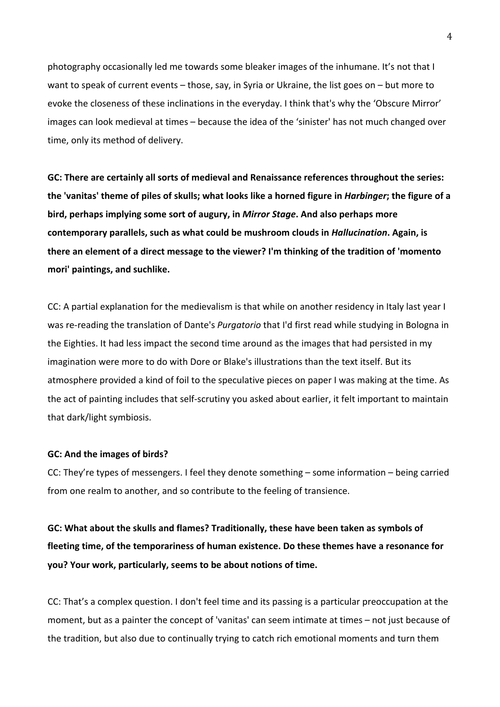photography occasionally led me towards some bleaker images of the inhumane. It's not that I want to speak of current events – those, say, in Syria or Ukraine, the list goes on – but more to evoke the closeness of these inclinations in the everyday. I think that's why the 'Obscure Mirror' images can look medieval at times – because the idea of the 'sinister' has not much changed over time, only its method of delivery.

GC: There are certainly all sorts of medieval and Renaissance references throughout the series: the 'vanitas' theme of piles of skulls; what looks like a horned figure in *Harbinger*; the figure of a bird, perhaps implying some sort of augury, in *Mirror Stage*. And also perhaps more **contemporary parallels, such as what could be mushroom clouds in** *Hallucination***. Again, is** there an element of a direct message to the viewer? I'm thinking of the tradition of 'momento mori' paintings, and suchlike.

CC: A partial explanation for the medievalism is that while on another residency in Italy last year I was re-reading the translation of Dante's *Purgatorio* that I'd first read while studying in Bologna in the Eighties. It had less impact the second time around as the images that had persisted in my imagination were more to do with Dore or Blake's illustrations than the text itself. But its atmosphere provided a kind of foil to the speculative pieces on paper I was making at the time. As the act of painting includes that self-scrutiny you asked about earlier, it felt important to maintain that dark/light symbiosis.

## **GC: And the images of birds?**

CC: They're types of messengers. I feel they denote something – some information – being carried from one realm to another, and so contribute to the feeling of transience.

GC: What about the skulls and flames? Traditionally, these have been taken as symbols of fleeting time, of the temporariness of human existence. Do these themes have a resonance for you? Your work, particularly, seems to be about notions of time.

CC: That's a complex question. I don't feel time and its passing is a particular preoccupation at the moment, but as a painter the concept of 'vanitas' can seem intimate at times – not just because of the tradition, but also due to continually trying to catch rich emotional moments and turn them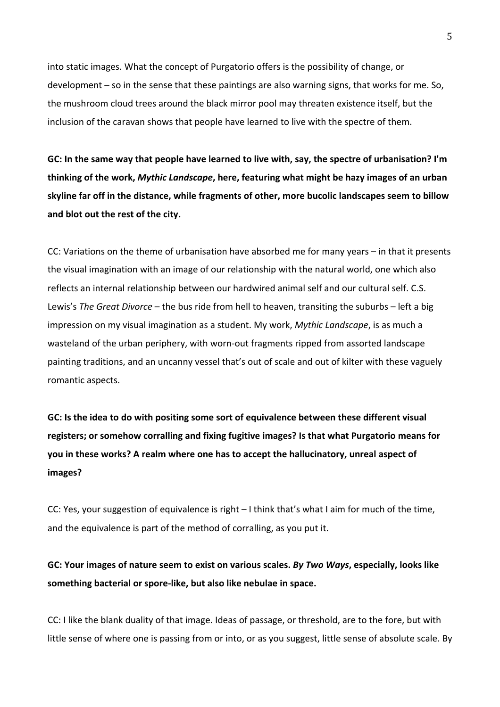into static images. What the concept of Purgatorio offers is the possibility of change, or development – so in the sense that these paintings are also warning signs, that works for me. So, the mushroom cloud trees around the black mirror pool may threaten existence itself, but the inclusion of the caravan shows that people have learned to live with the spectre of them.

GC: In the same way that people have learned to live with, say, the spectre of urbanisation? I'm thinking of the work, Mythic Landscape, here, featuring what might be hazy images of an urban skyline far off in the distance, while fragments of other, more bucolic landscapes seem to billow and blot out the rest of the city.

CC: Variations on the theme of urbanisation have absorbed me for many years – in that it presents the visual imagination with an image of our relationship with the natural world, one which also reflects an internal relationship between our hardwired animal self and our cultural self. C.S. Lewis's *The Great Divorce* – the bus ride from hell to heaven, transiting the suburbs – left a big impression on my visual imagination as a student. My work, *Mythic Landscape*, is as much a wasteland of the urban periphery, with worn-out fragments ripped from assorted landscape painting traditions, and an uncanny vessel that's out of scale and out of kilter with these vaguely romantic aspects.

GC: Is the idea to do with positing some sort of equivalence between these different visual registers; or somehow corralling and fixing fugitive images? Is that what Purgatorio means for you in these works? A realm where one has to accept the hallucinatory, unreal aspect of **images?**

CC: Yes, your suggestion of equivalence is right  $-1$  think that's what I aim for much of the time, and the equivalence is part of the method of corralling, as you put it.

GC: Your images of nature seem to exist on various scales. *By Two Ways*, especially, looks like something bacterial or spore-like, but also like nebulae in space.

CC: I like the blank duality of that image. Ideas of passage, or threshold, are to the fore, but with little sense of where one is passing from or into, or as you suggest, little sense of absolute scale. By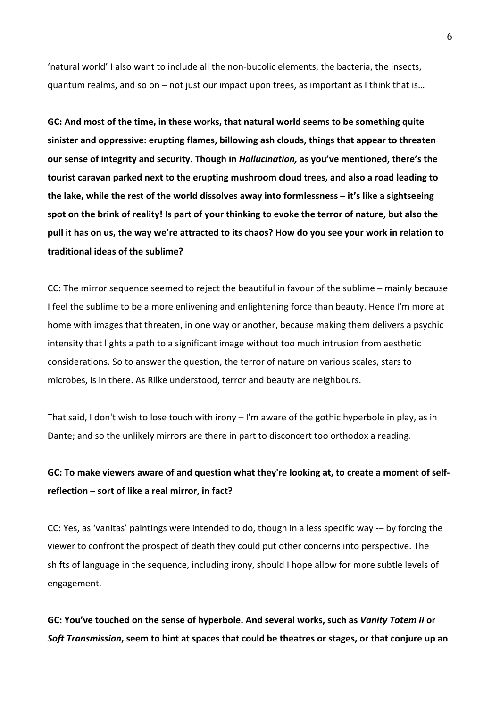'natural world' I also want to include all the non-bucolic elements, the bacteria, the insects, quantum realms, and so on – not just our impact upon trees, as important as I think that is...

GC: And most of the time, in these works, that natural world seems to be something quite sinister and oppressive: erupting flames, billowing ash clouds, things that appear to threaten **our sense of integrity and security. Though in** *Hallucination***, as you've mentioned, there's the** tourist caravan parked next to the erupting mushroom cloud trees, and also a road leading to the lake, while the rest of the world dissolves away into formlessness – it's like a sightseeing **spot on the brink of reality! Is part of your thinking to evoke the terror of nature, but also the** pull it has on us, the way we're attracted to its chaos? How do you see your work in relation to traditional ideas of the sublime?

CC: The mirror sequence seemed to reject the beautiful in favour of the sublime – mainly because I feel the sublime to be a more enlivening and enlightening force than beauty. Hence I'm more at home with images that threaten, in one way or another, because making them delivers a psychic intensity that lights a path to a significant image without too much intrusion from aesthetic considerations. So to answer the question, the terror of nature on various scales, stars to microbes, is in there. As Rilke understood, terror and beauty are neighbours.

That said, I don't wish to lose touch with irony – I'm aware of the gothic hyperbole in play, as in Dante; and so the unlikely mirrors are there in part to disconcert too orthodox a reading.

## GC: To make viewers aware of and question what they're looking at, to create a moment of selfreflection – sort of like a real mirror, in fact?

CC: Yes, as 'vanitas' paintings were intended to do, though in a less specific way -- by forcing the viewer to confront the prospect of death they could put other concerns into perspective. The shifts of language in the sequence, including irony, should I hope allow for more subtle levels of engagement.

GC: You've touched on the sense of hyperbole. And several works, such as *Vanity Totem II* or *Soft-Transmission*, seem to hint at spaces that could be theatres or stages, or that conjure up an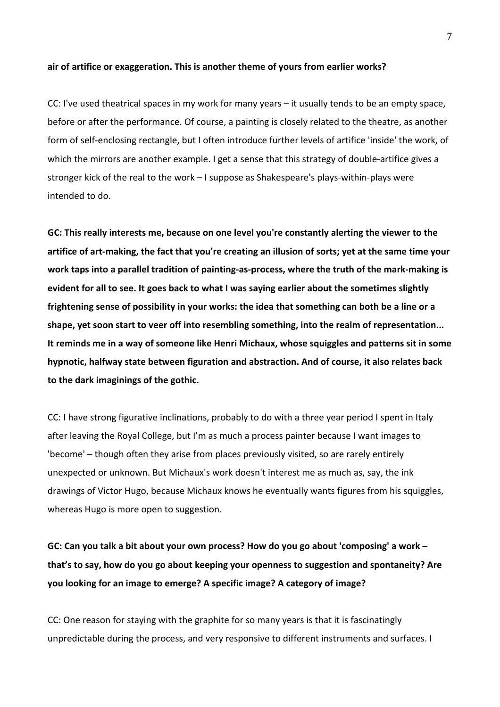## air of artifice or exaggeration. This is another theme of yours from earlier works?

CC: I've used theatrical spaces in my work for many years  $-$  it usually tends to be an empty space, before or after the performance. Of course, a painting is closely related to the theatre, as another form of self-enclosing rectangle, but I often introduce further levels of artifice 'inside' the work, of which the mirrors are another example. I get a sense that this strategy of double-artifice gives a stronger kick of the real to the work  $-1$  suppose as Shakespeare's plays-within-plays were intended to do.

GC: This really interests me, because on one level you're constantly alerting the viewer to the artifice of art-making, the fact that you're creating an illusion of sorts; yet at the same time your work taps into a parallel tradition of painting-as-process, where the truth of the mark-making is evident for all to see. It goes back to what I was saying earlier about the sometimes slightly frightening sense of possibility in your works: the idea that something can both be a line or a shape, yet soon start to veer off into resembling something, into the realm of representation... It reminds me in a way of someone like Henri Michaux, whose squiggles and patterns sit in some hypnotic, halfway state between figuration and abstraction. And of course, it also relates back to the dark imaginings of the gothic.

CC: I have strong figurative inclinations, probably to do with a three year period I spent in Italy after leaving the Royal College, but I'm as much a process painter because I want images to 'become' – though often they arise from places previously visited, so are rarely entirely unexpected or unknown. But Michaux's work doesn't interest me as much as, say, the ink drawings of Victor Hugo, because Michaux knows he eventually wants figures from his squiggles, whereas Hugo is more open to suggestion.

GC: Can you talk a bit about your own process? How do you go about 'composing' a work that's to say, how do you go about keeping your openness to suggestion and spontaneity? Are **you looking for an image to emerge? A specific image? A category of image?** 

CC: One reason for staying with the graphite for so many years is that it is fascinatingly unpredictable during the process, and very responsive to different instruments and surfaces. I